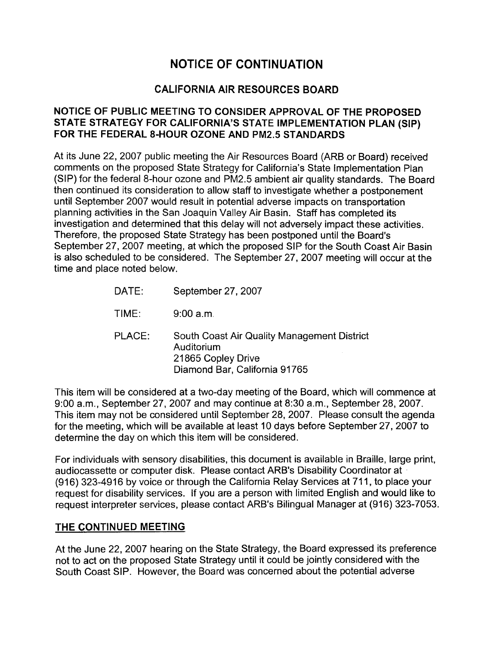# NOTICE OF CONTINUATION **NOTICE OF CONTINUATION**

### CALIFORNIA AIR RESOURCES BOARD **CALIFORNIA AIR RESOURCES**

#### **NOTICE OF PUBLIC MEETING TO CONSIDER APPROVAL OF THE PROPOSED**  NOTICE OF PUBLIC MEETING TO CONSIDER APPROVAL OF THE PROPOSED **STATE STRATEGY FOR CALIFORNIA'S STATE IMPLEMENTATION PLAN (SIP)**  STATE STRATEGY FOR CALIFORNIA'S STATE IMPLEMENTATION PLAN (SIP) FOR THE FEDERAL 8-HOUR OZONE AND PM2.5 STANDARDS

At its June 22, 2007 public meeting the Air Resources Board (ARB or Board) received At its June 22, 2007 public meeting the Air Resources Board (ARB or Board) received comments on the proposed State Strategy for California's State Implementation Plan comments on the proposed State Strategy for California's State Implementation Plan (SIP) for the federal 8-hour ozone and PM2.5 ambient air quality standards. The Board (SIP) for the federal 8-hour ozone and PM2.5 ambient air quality standards. The Board then continued its consideration to allow staff to investigate whether a postponement then continued its consideration to allow staff to investigate whether a postponement until September 2007 would result in potential adverse impacts on transportation until September 2007 would result in potential adverse impacts on transportation planning activities in the San Joaquin Valley Air Basin. Staff has completed its planning activities in the San Joaquin Valley Air Basin. Staff has completed its investigation and determined that this delay will not adversely impact these activities. investigation and determined that this delay will not adversely impact these activities. Therefore, the proposed State Strategy has been postponed until the Board's Therefore, the proposed State Strategy has been postponed until the Board's September 27, 2007 meeting, at which the proposed SIP for the South Coast Air Basin September 27, 2007 meeting, at which the proposed SIP for the South Coast Air Basin is also scheduled to be considered. The September 27, 2007 meeting will occur at the is also scheduled to be considered. The September 27, 2007 meeting will occur at the time and place noted below. time and place noted below.

| DATE:  | September 27, 2007                                                                                               |
|--------|------------------------------------------------------------------------------------------------------------------|
| TIME:  | 9:00a.m.                                                                                                         |
| PLACE: | South Coast Air Quality Management District<br>Auditorium<br>21865 Copley Drive<br>Diamond Bar, California 91765 |

This item will be considered at a two-day meeting of the Board, which will commence at This item will be considered at a two-day meeting of the Board, which will commence at 9:00 a.m., September 27, 2007 and may continue at 8:30 a.m., September 28, 2007. 9:00 a.m., September 27, 2007 and may continue at 8:30 a.m., September 28, 2007. This item may not be considered until September 28, 2007. Please consult the agenda This item may not be considered until September 28, 2007. Please consult the agenda for the meeting, which will be available at least 10 days before September 27, 2007 to for the meeting, which will be available at least 10 days before September 27, 2007 to determine the day on which this item will be considered. determine the day on which this item will be considered.

For individuals with sensory disabilities, this document is available in Braille, large print, For individuals with sensory disabilities, this document is available in Braille, large print, audiocassette or computer disk. Please contact ARB's Disability Coordinator at · audiocassette or computer disk. Please contact ARB's Disability Coordinator at (916) 323-4916 by voice or through the California Relay Services at 711, to place your 916) 323-4916 by voice or through the California Relay Services at 711, to place your request for disability services. If you are a person with limited English and would like to request interpreter services, please contact ARB's Bilingual Manager at (916) 323-7053. request interpreter services, please contact ARB's Bilingual Manager at (916) 323-7053.

#### THE CONTINUED MEETING **THE CONTINUED MEETING**

At the June 22, 2007 hearing on the State Strategy, the Board expressed its preference At the June 22, 2007 hearing on the State Strategy, the Board expressed its preference not to act on the proposed State Strategy until it could be jointly considered with the not to act on the proposed State Strategy until it could be jointly considered with the South Coast SIP. However, the Board was concerned about the potential adverse South Coast SIP. However, the Board was concerned about the potential adverse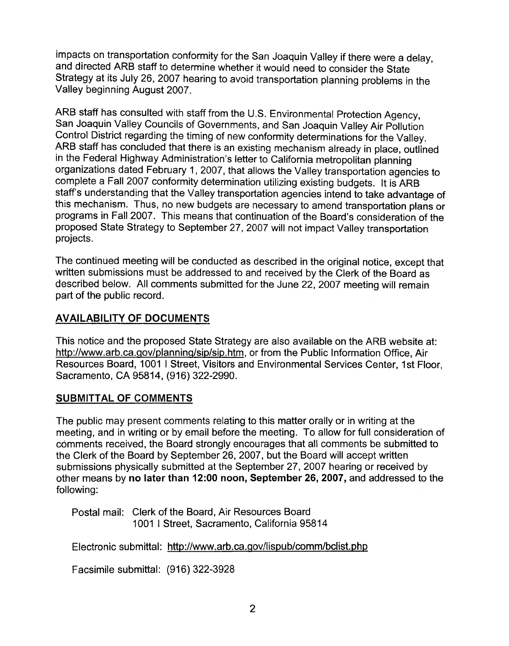impacts on transportation conformity for the San Joaquin Valley if there were a delay, impacts on transportation conformity for the San Joaquin Valley if there were a delay, and directed ARB staff to determine whether it would need to consider the State and directed ARB staff to determine whether it would need to consider the State Strategy at its July 26, 2007 hearing to avoid transportation planning problems in the Strategy at its July 26, 2007 hearing to avoid transportation planning problems in the Valley beginning August 2007. Valley beginning August 2007.

ARB staff has consulted with staff from the U.S. Environmental Protection Agency, ARB staff has consulted with staff from the U.S. Environmental Protection Agency, San Joaquin Valley Councils of Governments, and San Joaquin Valley Air Pollution San Joaquin Valley Councils of Governments, and San Joaquin Valley Air Pollution Control District regarding the timing of new conformity determinations for the Valley. Control District regarding the timing of new conformity determinations for the Valley. ARB staff has concluded that there is an existing mechanism already in place, outlined ARB staff has concluded that there is an existing mechanism already in place, outlined in the Federal Highway Administration's letter to California metropolitan planning in the Federal Highway Administration's letter to California metropolitan planning organizations dated February 1, 2007, that allows the Valley transportation agencies to organizations dated February 1, 2007, that allows the Valley transportation agencies to complete a Fall 2007 conformity determination utilizing existing budgets. It is ARB complete a Fall 2007 conformity determination utilizing existing budgets. It is ARB staff's understanding that the Valley transportation agencies intend to take advantage of staff's understanding that the Valley transportation agencies intend to take advantage of this mechanism. Thus, no new budgets are necessary to amend transportation plans or this mechanism. Thus, no new budgets are necessary to amend transportation plans or programs in Fall 2007. This means that continuation of the Board's consideration of the programs in Fall 2007. This means that continuation of the Board's consideration of the proposed State Strategy to September 27, 2007 will not impact Valley transportation proposed State Strategy to September 27, 2007 will not impact Valley transportation projects. projects

The continued meeting will be conducted as described in the original notice, except that The continued meeting will be conducted as described in the original notice, except that written submissions must be addressed to and received by the Clerk of the Board as written submissions must be addressed to and received by the Clerk of the Board as described below. All comments submitted for the June 22, 2007 meeting will remain described below. All comments submitted for the June 22, 2007 meeting will remain part of the public record. part of the public record.

# **AVAILABILITY OF DOCUMENTS**  AVAILABILITY OF DOCUMENTS

This notice and the proposed State Strategy are also available on the ARB website at: This notice and the proposed State Strategy are also available on the ARB website at: http://www.arb.ca.gov/planning/sip/sip.htm, or from the Public Information Office, Air Resources Board, 1001 I Street, Visitors and Environmental Services Center, 1st Floor, Resources Board, 1001 | Street, Visitors and Environmental Services Center, 1st Floor, Sacramento, CA 95814, (916) 322-2990. Sacramento, CA 95814, (916) 322-2990.

### **SUBMITTAL OF COMMENTS**  SUBMITTAL OF COMMENTS

The public may present comments relating to this matter orally or in writing at the The public may present comments relating to this matter orally or in writing at the meeting, and in writing or by email before the meeting. To allow for full consideration of meeting, and in writing or by email before the meeting. To allow for full consideration of comments received, the Board strongly encourages that all comments be submitted to comments received, the Board strongly encourages that all comments be submitted to the Clerk of the Board by September 26, 2007, but the Board will accept written the Clerk of the Board by September 26, 2007, but the Board will accept written submissions physically submitted at the September 27, 2007 hearing or received by submissions physically submitted at the September 27, 2007 hearing or received by other means by **no later than 12:00 noon, September 26, 2007,** and addressed to the other means by no later than 12:00 noon, September 26, 2007, and addressed to the following: following:

Postal mail: Clerk of the Board, Air Resources Board Postal mail: Clerk of the Board, Air Resources Board 1001 I Street, Sacramento, California 95814 1001 | Street, Sacramento, California 95814

Electronic submittal: http://www.arb.ca.gov/lispub/comm/bclist.php Electronic submittal: http://www.arb.ca.gov/lispub/comm/bclist.php

Facsimile submittal: (916) 322-3928 Facsimile submittal: (916) 322-3928